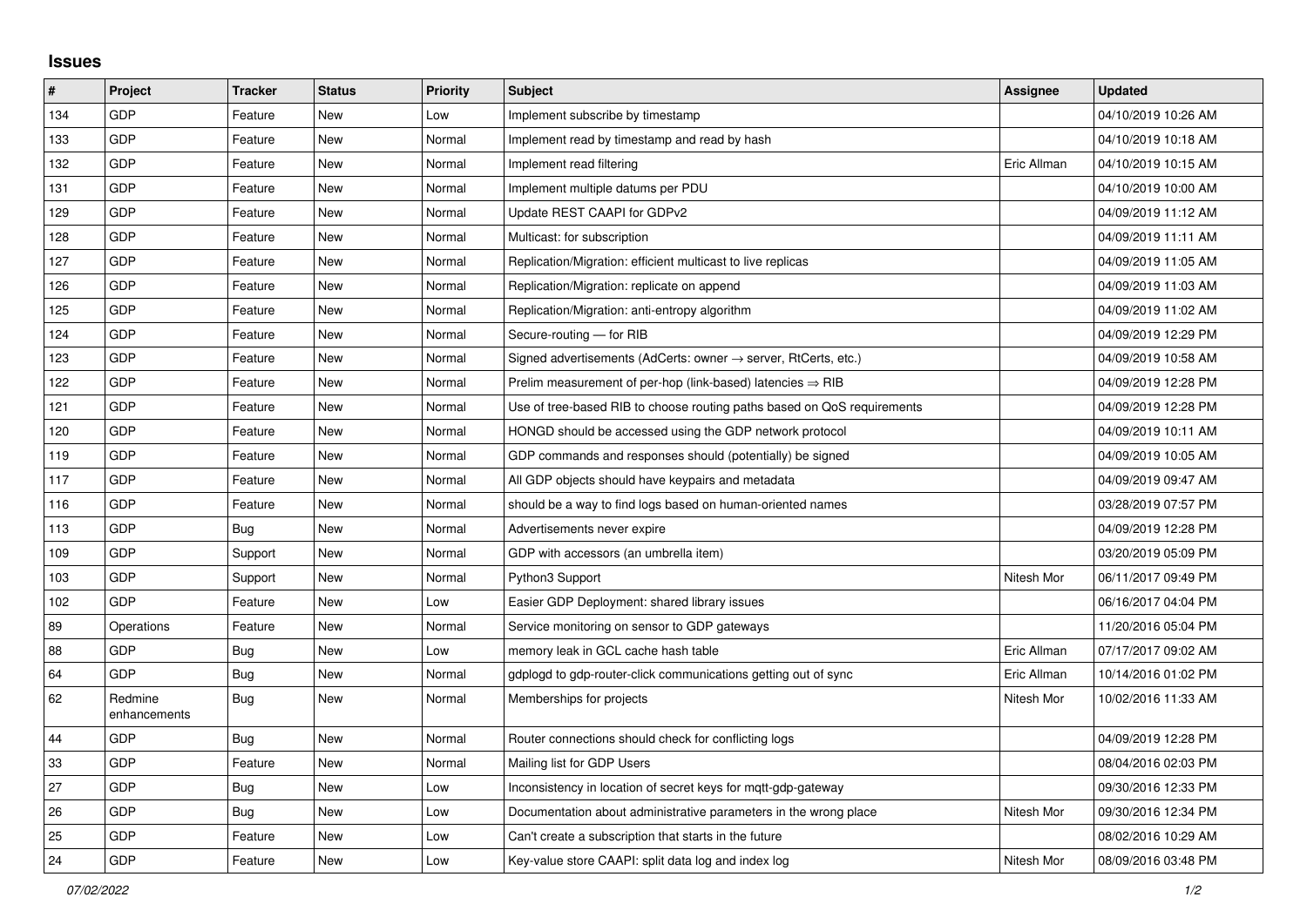## **Issues**

| #   | Project                 | <b>Tracker</b> | <b>Status</b> | Priority | <b>Subject</b>                                                             | Assignee    | <b>Updated</b>      |
|-----|-------------------------|----------------|---------------|----------|----------------------------------------------------------------------------|-------------|---------------------|
| 134 | GDP                     | Feature        | <b>New</b>    | Low      | Implement subscribe by timestamp                                           |             | 04/10/2019 10:26 AM |
| 133 | GDP                     | Feature        | <b>New</b>    | Normal   | Implement read by timestamp and read by hash                               |             | 04/10/2019 10:18 AM |
| 132 | GDP                     | Feature        | <b>New</b>    | Normal   | Implement read filtering                                                   | Eric Allman | 04/10/2019 10:15 AM |
| 131 | GDP                     | Feature        | <b>New</b>    | Normal   | Implement multiple datums per PDU                                          |             | 04/10/2019 10:00 AM |
| 129 | GDP                     | Feature        | <b>New</b>    | Normal   | Update REST CAAPI for GDPv2                                                |             | 04/09/2019 11:12 AM |
| 128 | GDP                     | Feature        | New           | Normal   | Multicast: for subscription                                                |             | 04/09/2019 11:11 AM |
| 127 | GDP                     | Feature        | New           | Normal   | Replication/Migration: efficient multicast to live replicas                |             | 04/09/2019 11:05 AM |
| 126 | GDP                     | Feature        | <b>New</b>    | Normal   | Replication/Migration: replicate on append                                 |             | 04/09/2019 11:03 AM |
| 125 | GDP                     | Feature        | New           | Normal   | Replication/Migration: anti-entropy algorithm                              |             | 04/09/2019 11:02 AM |
| 124 | GDP                     | Feature        | <b>New</b>    | Normal   | Secure-routing - for RIB                                                   |             | 04/09/2019 12:29 PM |
| 123 | GDP                     | Feature        | <b>New</b>    | Normal   | Signed advertisements (AdCerts: owner $\rightarrow$ server, RtCerts, etc.) |             | 04/09/2019 10:58 AM |
| 122 | GDP                     | Feature        | <b>New</b>    | Normal   | Prelim measurement of per-hop (link-based) latencies $\Rightarrow$ RIB     |             | 04/09/2019 12:28 PM |
| 121 | GDP                     | Feature        | New           | Normal   | Use of tree-based RIB to choose routing paths based on QoS requirements    |             | 04/09/2019 12:28 PM |
| 120 | GDP                     | Feature        | New           | Normal   | HONGD should be accessed using the GDP network protocol                    |             | 04/09/2019 10:11 AM |
| 119 | GDP                     | Feature        | New           | Normal   | GDP commands and responses should (potentially) be signed                  |             | 04/09/2019 10:05 AM |
| 117 | GDP                     | Feature        | New           | Normal   | All GDP objects should have keypairs and metadata                          |             | 04/09/2019 09:47 AM |
| 116 | GDP                     | Feature        | New           | Normal   | should be a way to find logs based on human-oriented names                 |             | 03/28/2019 07:57 PM |
| 113 | GDP                     | Bug            | <b>New</b>    | Normal   | Advertisements never expire                                                |             | 04/09/2019 12:28 PM |
| 109 | GDP                     | Support        | New           | Normal   | GDP with accessors (an umbrella item)                                      |             | 03/20/2019 05:09 PM |
| 103 | GDP                     | Support        | <b>New</b>    | Normal   | Python3 Support                                                            | Nitesh Mor  | 06/11/2017 09:49 PM |
| 102 | GDP                     | Feature        | <b>New</b>    | Low      | Easier GDP Deployment: shared library issues                               |             | 06/16/2017 04:04 PM |
| 89  | Operations              | Feature        | <b>New</b>    | Normal   | Service monitoring on sensor to GDP gateways                               |             | 11/20/2016 05:04 PM |
| 88  | GDP                     | <b>Bug</b>     | <b>New</b>    | Low      | memory leak in GCL cache hash table                                        | Eric Allman | 07/17/2017 09:02 AM |
| 64  | GDP                     | Bug            | <b>New</b>    | Normal   | gdplogd to gdp-router-click communications getting out of sync             | Eric Allman | 10/14/2016 01:02 PM |
| 62  | Redmine<br>enhancements | <b>Bug</b>     | <b>New</b>    | Normal   | Memberships for projects                                                   | Nitesh Mor  | 10/02/2016 11:33 AM |
| 44  | GDP                     | <b>Bug</b>     | <b>New</b>    | Normal   | Router connections should check for conflicting logs                       |             | 04/09/2019 12:28 PM |
| 33  | GDP                     | Feature        | <b>New</b>    | Normal   | Mailing list for GDP Users                                                 |             | 08/04/2016 02:03 PM |
| 27  | GDP                     | <b>Bug</b>     | New           | Low      | Inconsistency in location of secret keys for mqtt-gdp-gateway              |             | 09/30/2016 12:33 PM |
| 26  | GDP                     | <b>Bug</b>     | <b>New</b>    | Low      | Documentation about administrative parameters in the wrong place           | Nitesh Mor  | 09/30/2016 12:34 PM |
| 25  | GDP                     | Feature        | <b>New</b>    | Low      | Can't create a subscription that starts in the future                      |             | 08/02/2016 10:29 AM |
| 24  | GDP                     | Feature        | <b>New</b>    | Low      | Key-value store CAAPI: split data log and index log                        | Nitesh Mor  | 08/09/2016 03:48 PM |